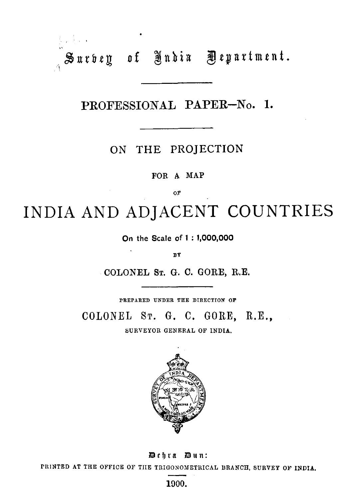**Sarbey of India Department.** 

**PROFESSIONAL PAPER-No. 1.** 

ON THE PROJECTION

**FOR A MAP** 

**OF** 

INDIA AND ADJACENT COUNTRIES

**On the Scale of 1** : **1,000,000** 

**DY** 

**COLONEL ST.** *G.* **C. GORE, R.E.** 

**PBEPAUED UNDER TEE DIRECTION OF** 

COLONEL **ST.** *G.* **C.** GORE, **R.E.,** 

**SURVEYOR GENERAL OF INDIA.** 



**Debra Dntt:** 

**PRINTED AT THE OFFICE OF TIIE TRIOOXOMETRICAL BRANCH, SURVEY OF INDIA.** 

**1900.**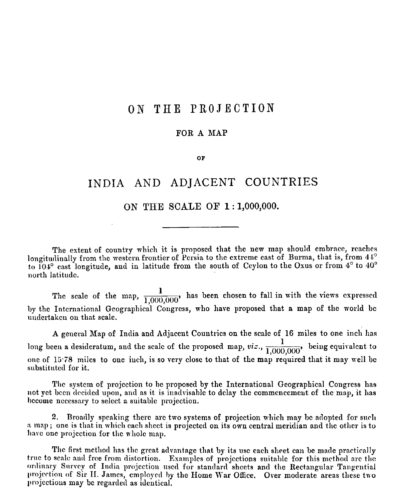# ON THE PROJECTION

#### FOR A MAP

OF

## INDIA AND ADIACENT COUNTRIES

### ON THE SCALE OF 1:1,000,000.

The extent of country which it is proposed that the new map should embrace, reaches longitudinally from the western frontier of Persia to the extreme east of Burma, that is, from  $41^{\circ}$ to 104° east longitude, and in latitude from the south of Ceylon to the Oxus or from 4° to 40° north latitude.

The scale of the map,  $\frac{1}{1,000,000}$ , has been chosen to fall in with the views expressed by the International Geographical Congress, who have proposed that a map of the world be undertaken on that scale.

A general Map of India and Adjacent Countries on the scale of 16 miles to one inch has long been a desideratum, and the scale of the proposed map,  $viz., \frac{1}{1,000,000}$ , being equivalent to one of 15.78 miles to one inch, is so very close to that of the map required that it may well be substituted for it.

The system of projection to be proposed by the International Geographical Congress has not yet been decided upon, and as it is inadvisable to delay the commencement of the map, it has become necessary to select a suitable projection.

2. Broadly speaking there are two systems of projection which may be adopted for such a map; one is that in which each sheet is projected on its own central meridian and the other is to have one projection for the whole map.

The first method has the great advantage that by its use each sheet can be made practically true to scale and free from distortion. Examples of projections suitable for this method are the ordinary Survey of India projection used for standard sheets and the Rectangular Tangential projection of Sir II. James, employed by the Home War Office. Over moderate areas these two projections may be regarded as identical.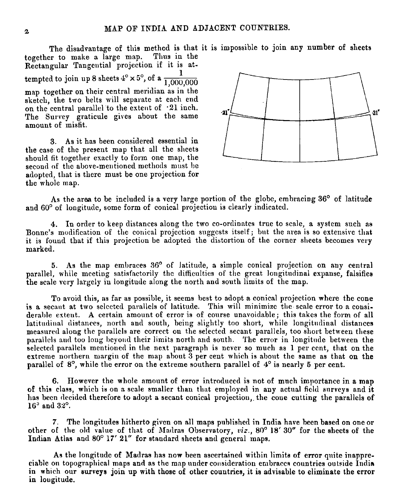The disadvantage of this method is that it is impossible to join any number of sheets<br>er to make a large map. Thus in the together to make a large map. Rectangular Tangential projection if it is attempted to join up 8 sheets  $4^\circ \times 5^\circ$ , of a  $\frac{1}{1,000}$ 1,000,000 map together on their central meridian as in the sketch, the two belts will separate at each end on the central parallel to the extent of **-21** inch. The Survey graticule gives about the same amount of misfit.

3. As it has been considered essential in the case of the present map that all the sheets should fit together exactly to form one map, the second of the above-mentioned methods must be adopted, that is there must be one projection for the whole map.



As the area to be included is a very large portion of the globe, embracing  $36^{\circ}$  of latitude and 60° of longitude, some form of conical projection is clearly indicated.

**4.** In ortler to lieep distances along the two co-ordinates true to scale, a system such as Bonne's modification of the conical projection suggests itself; but the area is so extensive that it is found that if this projection be adopted the distortion of the corner sheets becomes very marked.

**5.** As the map embraces **36'** of latitude, a simple conical projection on any central parallel, while meeting satisfactorily the difficulties of the great longitudinal expanse, falsifies the scale vcry largely in longitude along the north and south limits of the map.

To avoid this, as far as possible, it seems best to adopt a conical projection where the cone is a secant at two selected parallels of latitude. This will minimize the scale error to a considerable extent. A certain amount of error is of course unavoidable; this takes the form of all latitudinal distances, north and south, being slightly too short, while longitudinal distances measured along the parallels are correct on the selected secant parallels, too short between these parallels and too long beyond their limits north and south. The error in longitude between the selected parallels mentioned in the next paragraph is never so much as 1 per cent, that on the extreme northern margin of the map about 3 per cent which is about the same as that on the parallel of  $8^\circ$ , while the error on the extreme southern parallel of  $4^\circ$  is nearly 5 per cent.

**6.** However the whole amount of error introduced is not of much importance in a map of this class, which is on a scale smallcr than that employed in any actual ficld surveys nnd it has been decided therefore to adopt a secant conical projection, the coue cutting the parallels of **16'** and **32'.** 

**7.** Thc longitudes hitherto given on all maps published in India have been based on one or other of the old value of that of Madras Observatory, *viz.*, 80° 18' 30" for the sheets of the Indian Atlas and 80' 17' 21" for standard sheets and general maps.

As the longitude of Madras has now been ascertained within limits of error quite inappreciable on topographical maps and as the map under consideration embraces countries outside India in which our surveys join up with those of other countries, it is advisable to eliminate the error in lougitude.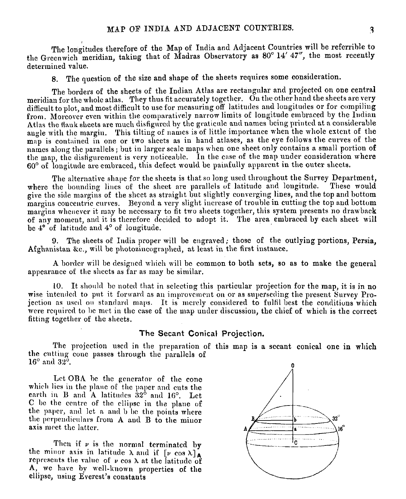The longitudes therefore of the Map of India and Adjacent Countries will be referrihle to the Greenwich meridian, taking that of Madras Observatory as 80" 14' **4'7",** the most recently determined value.

8. The question of the size and shape of the sheets requires some consideration.

The borders of the sheets of the Indian Atlas are rectangular and projected on one central meridian for the whole atlas. They thus fit accurately together. On the other hand the sheets are very difficult to plot, and most difficult to use for measuring off latitudes and longitudes or for compiling from. Moreover even within the comparatively narrow limits of longitude embraced by the Indian Atlas the flank sheets are much disfigured by the graticule and names being printed at a considerable angle with the margin. This tilting of names is of little importance when the whole extent of the map is contained in one or two sheets as in hand atlases, as the eye follows the curves of the names along the parallels; but in larger scale maps when one sheet only contains a small portion of the map, the disfigurement is very noticeable. In the case of the map under consideration where 60' of longitude are embraced, this defect \vould be paiufully apparent in tlie outer shccts.

The alternative shape for the sheets is that so long used throughout the Survey Department, the hounding lines of the sheet are parallels of latitude and longitude. These would where the bounding lines of the sheet are parallels of latitude and longitude. give the side margins of the sheet as straight but slightly converging lines, and the top and bottom margins concentric curves. Beyond a very slight increase of trouble in cutting the top and bottom margins whenever it may be necessary to fit two sheets together, this system presents no drawback of any moment, and it **1s** tlicrefore dccided to adopt it. The area embraccd by each sheet will be **4"** of latitudc and 4' of longitude.

**9.** The sheets of India proper mill be engraved; those of the outlying portions, Persia, Afghanistan &c., will be photozincographed, at least in the first instance.

A border will be designed which will be common to both sets, so as to make the general appearance of the sheets as far as may be similar.

**10.** It should be noted that in selecting this particular projection for the map, it is in no wise intended to put it forward as an improvement on or as superseding the present Survey Projection as uscd on standard maps. It is merely considered to fulfil best the conditions which<br>were required to be met in the case of the map under discussion, the chief of which is the correct fitting together of the sheets.

#### **The Secant Conical Projection.**

The projection used in the preparation of this map is a secant conical one in which the cutting cone passes through the parallels of **16'** and **32'. <sup>0</sup>**

Let **OBA** be the generator of the cone which lies in the plane of the paper and cuts the earth in B and A latitudes 32° and 16°. Let C be the centre of the ellipse in the plane of the paper, and let a and b be the points where the perpendiculars from A and B to the minor axis meet the latter.

Then if  $\nu$  is the normal terminated by the minor axis in latitude  $\lambda$  and if  $[\nu \cos \lambda]_A$ represents the value of  $\nu$  cos  $\lambda$  at the latitude of A, we have by well-known properties of the ellipse, usiug Everest's constants

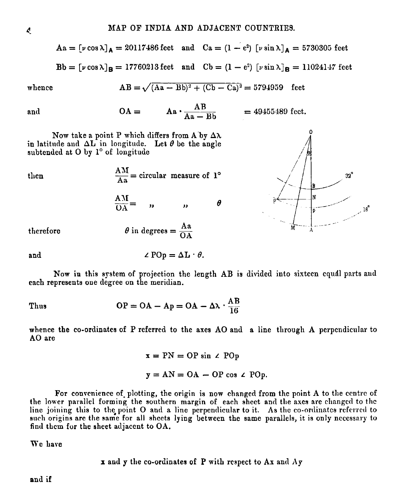$$
Aa = [v \cos \lambda]_A = 20117486 \text{ feet} \text{ and } Ca = (1 - e^2) [v \sin \lambda]_A = 5730305 \text{ feet}
$$
  

$$
Bb = [v \cos \lambda]_B = 17760213 \text{ feet} \text{ and } Cb = (1 - e^2) [v \sin \lambda]_B = 11024147 \text{ feet}
$$

whence 
$$
AB = \sqrt{(Aa - Bb)^2 + (Cb - Ca)^2} = 5794959
$$
 feet

and 
$$
OA =
$$
  $Aa \cdot \frac{AB}{Aa - Bb} = 49455489 \text{ feet.}$ 

Now take a point P which differs from A by  $\Delta\lambda$ . in latitude and  $\Delta L$  in longitude. Let  $\theta$  be the angle subtended at O by 1° of longitude

 $\frac{AM}{Aa}$  = circular measure of 1<sup>o</sup> then  $\frac{AM}{OA} =$  $\overline{\boldsymbol{u}}$  $\theta$  $\theta$  in degrees =  $\frac{Aa}{OA}$ therefore

and 
$$
\angle \text{POp} = \Delta L \cdot \theta
$$
.

Now **in** this system of projection the length AB is divided into sixteen equll parts aud each represents oue degree on the meridian.

Thus 
$$
OP = OA - Ap = OA - \Delta \cdot \frac{AB}{16}
$$

whence the co-ordinates of P referred to the axes **A0** and a line through A perpendicular to **A0** are

$$
x = PN = OP \sin \angle POp
$$
  

$$
y = AN = OA - OP \cos \angle POp.
$$

For convenience of plotting, the origin is now changed from the point A to the centre of the lower parallel forming the southern margin of each sheet and the axes are changed to the line joining this to the point  $O$  and a line perpendicular to it. As the co-ordinates referred to such origins are the same for all shcets lying between the same parallels, it is only necessary to find them for the sheet adjacent to OA.

We have

$$
x
$$
 and  $y$  the co-ordinates of  $P$  with respect to  $Ax$  and  $Ay$ .



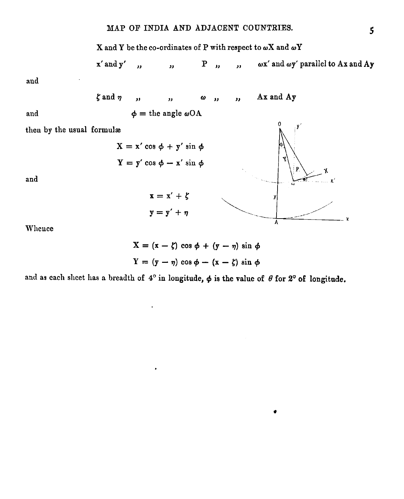

x' and y'  $\omega x'$  and  $\omega y'$  parallel to Ax and Ay  $P_{11}$  $\mathbf{v}$  $\mathbf{r}$  $\mathbf{r}$ 

and

 $\zeta$  and  $\eta$ Ax and Ay  $\overline{\mathbf{r}}$  $\overline{\mathbf{r}}$  $\pmb{\omega}$ ,,  $\overline{\mathbf{r}}$  $\phi$  = the angle  $\omega$ OA

and

then by the usual formulæ

 $and$ 

Whence

$$
X = (x - \zeta) \cos \phi + (y - \eta) \sin \phi
$$

$$
Y = (y - \eta) \cos \phi - (x - \zeta) \sin \phi
$$

and as each sheet has a breadth of  $4^{\circ}$  in longitude,  $\phi$  is the value of  $\theta$  for  $2^{\circ}$  of longitude.



 $\bullet$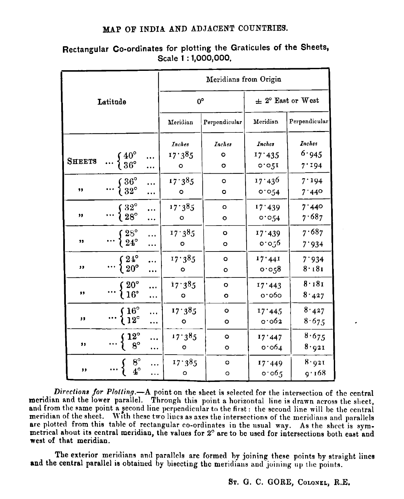### MAP OF INDIA AND ADJACENT COUNTRIES.

|               |                                                                             |               | Meridians from Origin  |                    |                       |                |
|---------------|-----------------------------------------------------------------------------|---------------|------------------------|--------------------|-----------------------|----------------|
| Latitude      |                                                                             |               | $0^{\circ}$            |                    | $\pm$ 2° East or West |                |
|               |                                                                             |               | Meridian               | Perpendicular      | Meridian              | Perpendicular  |
|               |                                                                             |               | Inches                 | Inches             | Inches                | <b>Inches</b>  |
| <b>SHEETS</b> | $\cdots \begin{cases} 40^{\circ} \\ 36^{\circ} \end{cases}$                 |               | 17.385<br>o            | $\circ$<br>$\circ$ | 17.435<br>0.051       | 6.945<br>7.194 |
| ,,            | $\ldots \begin{cases} 36^{\circ} \\ 32^{\circ} \end{cases}$                 |               | 17.385<br>o            | $\circ$<br>o       | 17.436<br>0.054       | 7.194<br>7.440 |
| ,,            | $\cdots \begin{cases} 32^{\circ} \\ 28^{\circ} \end{cases}$                 |               | 17.385<br>$\mathbf{o}$ | $\circ$<br>o       | 17.439<br>0.054       | 7.440<br>7.687 |
| ,,            | $\ldots \frac{1}{24^{\circ}}$                                               |               | 17.385<br>o            | O<br>o             | 17'439<br>0.056       | 7.687<br>7.934 |
| ,,            | $\ldots\left\{\genfrac{}{}{0pt}{}{2\,4^{\circ}}{20^{\circ}}\right.$         |               | 17.385<br>۰            | $\circ$<br>o       | 17.441<br>0.058       | 7.934<br>8.181 |
| ,,            | $\cdots \left\{\frac{20^{\circ}}{16^{\circ}}\right.$                        |               | 17.385<br>۰            | $\circ$<br>o       | 17'443<br>0.000       | 8.181<br>8.427 |
| 33            | $\cdots \begin{cases} 16^{\circ} \\ 12^{\circ} \end{cases}$                 | .             | 17.385<br>o            | $\circ$<br>۰       | 17'445<br>0.003       | 8.427<br>8.675 |
| $\bullet$     | $\{12^{\circ}_{8^{\circ}}$                                                  | <br>$\ddotsc$ | 17.385<br>o            | Ō<br>o             | 17.447<br>0.064       | 8.675<br>8.921 |
| ,,            | $\n\left\{\n\begin{array}{c}\n8^{\circ} \\ 4^{\circ}\n\end{array}\n\right.$ | .             | 17.385<br>о            | $\circ$<br>o       | 17.449<br>0.065       | 8.921<br>9.168 |

## Rectangular Co-ordinates for plotting the Graticules of the Sheets. Scale 1:1,000,000,

Directions for Plotting.-A point on the sheet is selected for the intersection of the central meridian and the lower parallel. Through this point a horizontal line is drawn across the sheet, and from the same point a second line perpendicular to the first: the second line will be the central meridian of the sheet. With these two lines as axes the intersections of the meridians and parallels are plotted from this table of rectangular co-ordinates in the usual way. As the sheet is symmetrical about its central meridian, the values for 2° are to be used for intersections both east and west of that meridian.

The exterior meridians and parallels are formed by joining these points by straight lines and the central parallel is obtained by bisecting the meridians and joining up the points.

ST. G. C. GORE, COLONEL, R.E.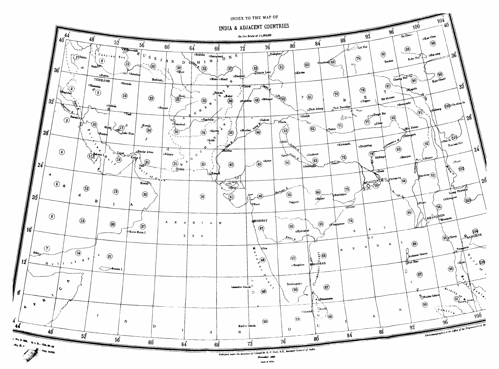